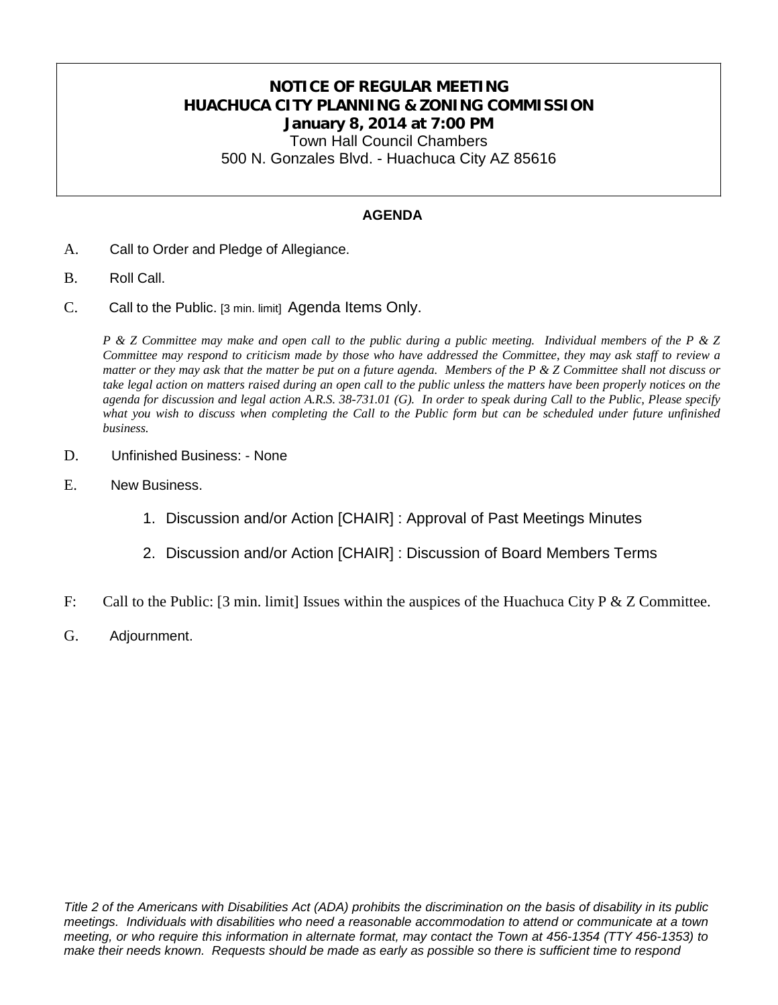## **NOTICE OF REGULAR MEETING HUACHUCA CITY PLANNING & ZONING COMMISSION January 8, 2014 at 7:00 PM**

Town Hall Council Chambers 500 N. Gonzales Blvd. - Huachuca City AZ 85616

#### **AGENDA**

- A. Call to Order and Pledge of Allegiance.
- B. Roll Call.
- C. Call to the Public. [3 min. limit] Agenda Items Only.

*P & Z Committee may make and open call to the public during a public meeting. Individual members of the P & Z Committee may respond to criticism made by those who have addressed the Committee, they may ask staff to review a matter or they may ask that the matter be put on a future agenda. Members of the P & Z Committee shall not discuss or take legal action on matters raised during an open call to the public unless the matters have been properly notices on the agenda for discussion and legal action A.R.S. 38-731.01 (G). In order to speak during Call to the Public, Please specify*  what you wish to discuss when completing the Call to the Public form but can be scheduled under future unfinished *business.*

- D. Unfinished Business: None
- E. New Business.
	- 1. Discussion and/or Action [CHAIR] : Approval of Past Meetings Minutes
	- 2. Discussion and/or Action [CHAIR] : Discussion of Board Members Terms
- F: Call to the Public: [3 min. limit] Issues within the auspices of the Huachuca City P & Z Committee.
- G. Adjournment.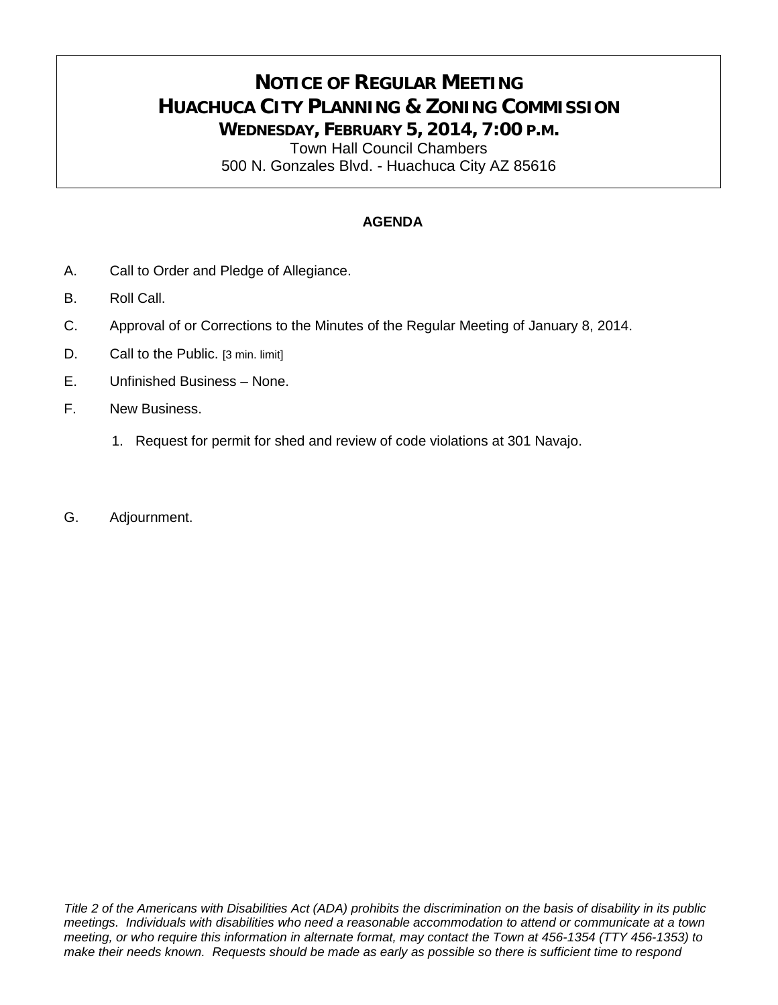# **NOTICE OF REGULAR MEETING HUACHUCA CITY PLANNING & ZONING COMMISSION WEDNESDAY, FEBRUARY 5, 2014, 7:00 P.M.**

Town Hall Council Chambers 500 N. Gonzales Blvd. - Huachuca City AZ 85616

#### **AGENDA**

- A. Call to Order and Pledge of Allegiance.
- B. Roll Call.
- C. Approval of or Corrections to the Minutes of the Regular Meeting of January 8, 2014.
- D. Call to the Public. [3 min. limit]
- E. Unfinished Business None.
- F. New Business.
	- 1. Request for permit for shed and review of code violations at 301 Navajo.
- G. Adjournment.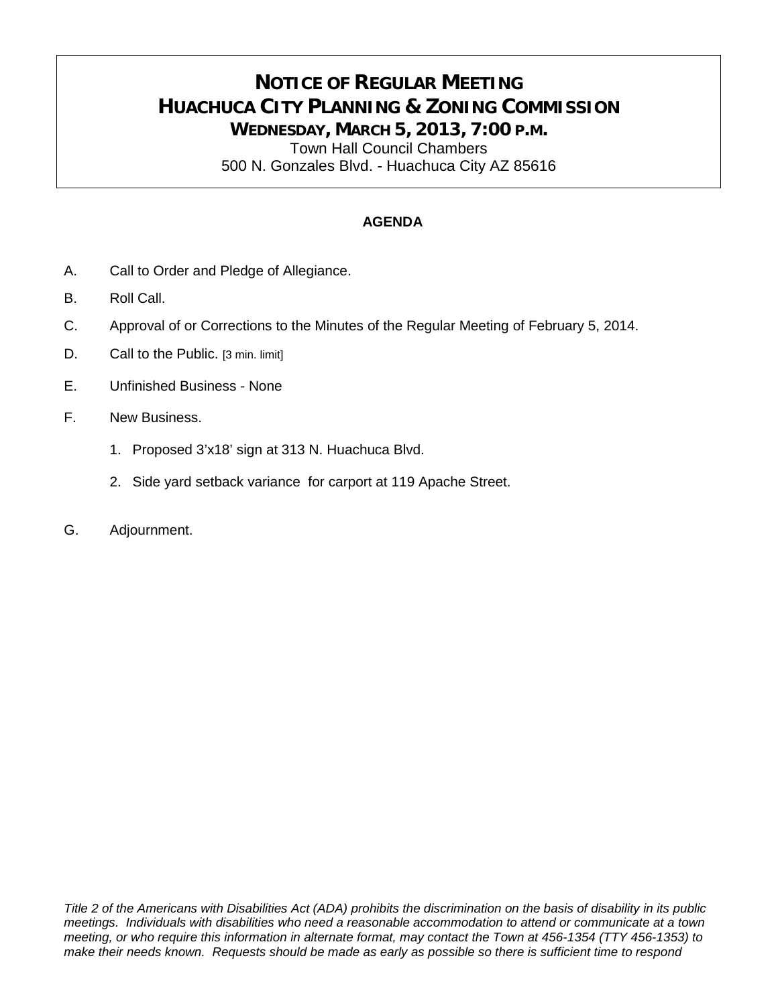# **NOTICE OF REGULAR MEETING HUACHUCA CITY PLANNING & ZONING COMMISSION WEDNESDAY, MARCH 5, 2013, 7:00 P.M.**

Town Hall Council Chambers 500 N. Gonzales Blvd. - Huachuca City AZ 85616

#### **AGENDA**

- A. Call to Order and Pledge of Allegiance.
- B. Roll Call.
- C. Approval of or Corrections to the Minutes of the Regular Meeting of February 5, 2014.
- D. Call to the Public. [3 min. limit]
- E. Unfinished Business None
- F. New Business.
	- 1. Proposed 3'x18' sign at 313 N. Huachuca Blvd.
	- 2. Side yard setback variance for carport at 119 Apache Street.
- G. Adjournment.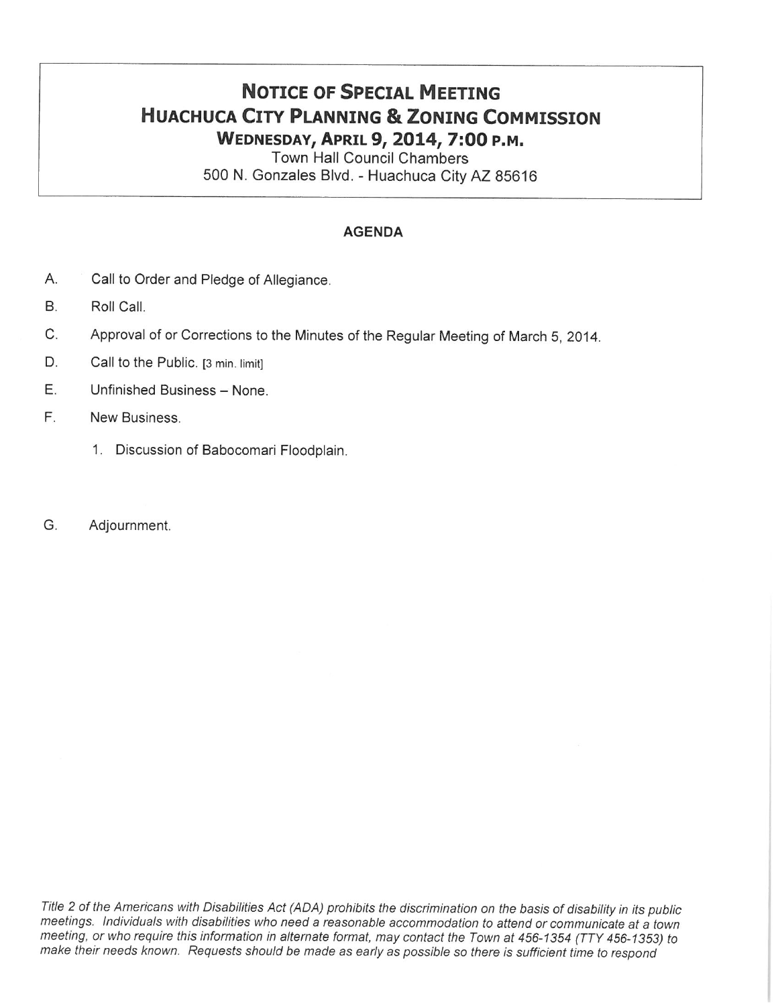# **NOTICE OF SPECIAL MEETING HUACHUCA CITY PLANNING & ZONING COMMISSION** WEDNESDAY, APRIL 9, 2014, 7:00 P.M.

**Town Hall Council Chambers** 500 N. Gonzales Blvd. - Huachuca City AZ 85616

#### **AGENDA**

- Α. Call to Order and Pledge of Allegiance.
- **B.** Roll Call.
- C. Approval of or Corrections to the Minutes of the Regular Meeting of March 5, 2014.
- D. Call to the Public. [3 min. limit]
- E. Unfinished Business - None.
- F. New Business.
	- 1. Discussion of Babocomari Floodplain.
- G. Adjournment.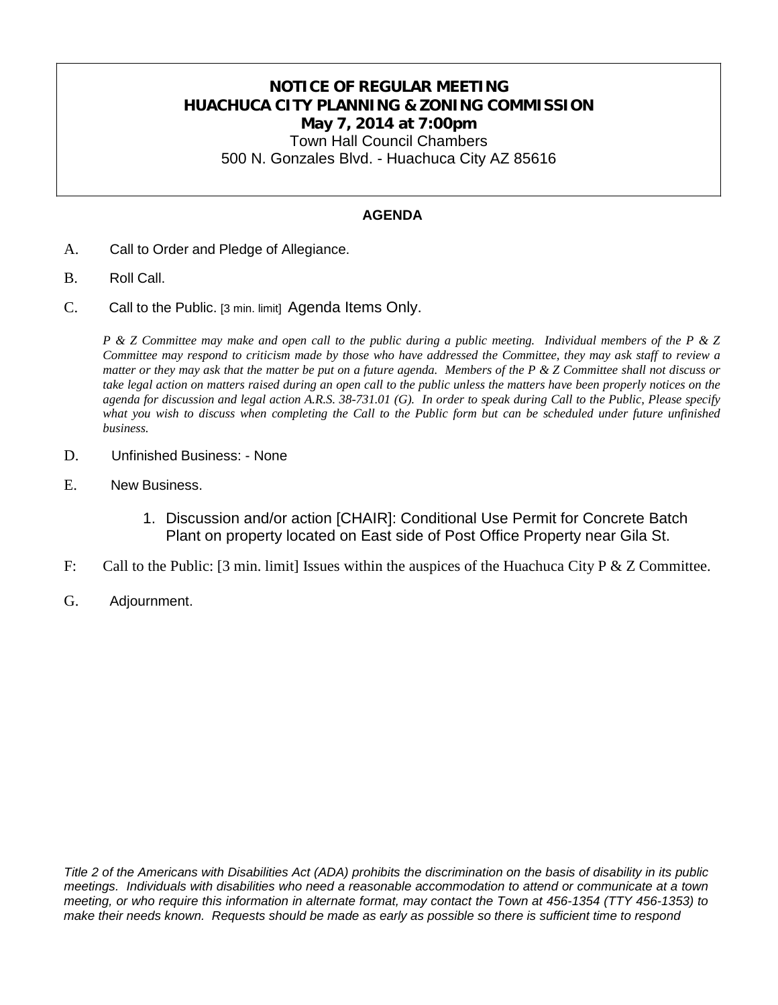## **NOTICE OF REGULAR MEETING HUACHUCA CITY PLANNING & ZONING COMMISSION May 7, 2014 at 7:00pm**

Town Hall Council Chambers 500 N. Gonzales Blvd. - Huachuca City AZ 85616

#### **AGENDA**

- A. Call to Order and Pledge of Allegiance.
- B. Roll Call.
- C. Call to the Public. [3 min. limit] Agenda Items Only.

*P & Z Committee may make and open call to the public during a public meeting. Individual members of the P & Z Committee may respond to criticism made by those who have addressed the Committee, they may ask staff to review a matter or they may ask that the matter be put on a future agenda. Members of the P & Z Committee shall not discuss or take legal action on matters raised during an open call to the public unless the matters have been properly notices on the agenda for discussion and legal action A.R.S. 38-731.01 (G). In order to speak during Call to the Public, Please specify*  what you wish to discuss when completing the Call to the Public form but can be scheduled under future unfinished *business.*

- D. Unfinished Business: None
- E. New Business.
	- 1. Discussion and/or action [CHAIR]: Conditional Use Permit for Concrete Batch Plant on property located on East side of Post Office Property near Gila St.
- F: Call to the Public: [3 min. limit] Issues within the auspices of the Huachuca City P & Z Committee.
- G. Adjournment.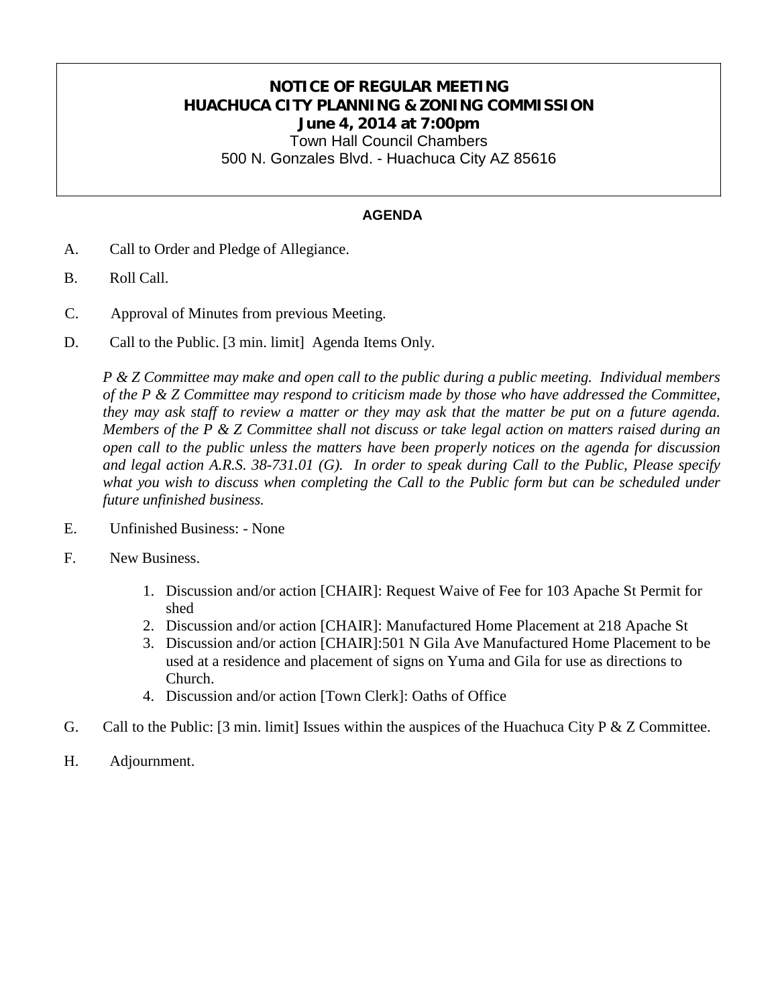## **NOTICE OF REGULAR MEETING HUACHUCA CITY PLANNING & ZONING COMMISSION June 4, 2014 at 7:00pm**

Town Hall Council Chambers 500 N. Gonzales Blvd. - Huachuca City AZ 85616

#### **AGENDA**

- A. Call to Order and Pledge of Allegiance.
- B. Roll Call.
- C. Approval of Minutes from previous Meeting.
- D. Call to the Public. [3 min. limit] Agenda Items Only.

*P & Z Committee may make and open call to the public during a public meeting. Individual members of the P & Z Committee may respond to criticism made by those who have addressed the Committee, they may ask staff to review a matter or they may ask that the matter be put on a future agenda. Members of the P & Z Committee shall not discuss or take legal action on matters raised during an open call to the public unless the matters have been properly notices on the agenda for discussion and legal action A.R.S. 38-731.01 (G). In order to speak during Call to the Public, Please specify*  what you wish to discuss when completing the Call to the Public form but can be scheduled under *future unfinished business.*

- E. Unfinished Business: None
- F. New Business.
	- 1. Discussion and/or action [CHAIR]: Request Waive of Fee for 103 Apache St Permit for shed
	- 2. Discussion and/or action [CHAIR]: Manufactured Home Placement at 218 Apache St
	- 3. Discussion and/or action [CHAIR]:501 N Gila Ave Manufactured Home Placement to be used at a residence and placement of signs on Yuma and Gila for use as directions to Church.
	- 4. Discussion and/or action [Town Clerk]: Oaths of Office
- G. Call to the Public: [3 min. limit] Issues within the auspices of the Huachuca City P & Z Committee.
- H. Adjournment.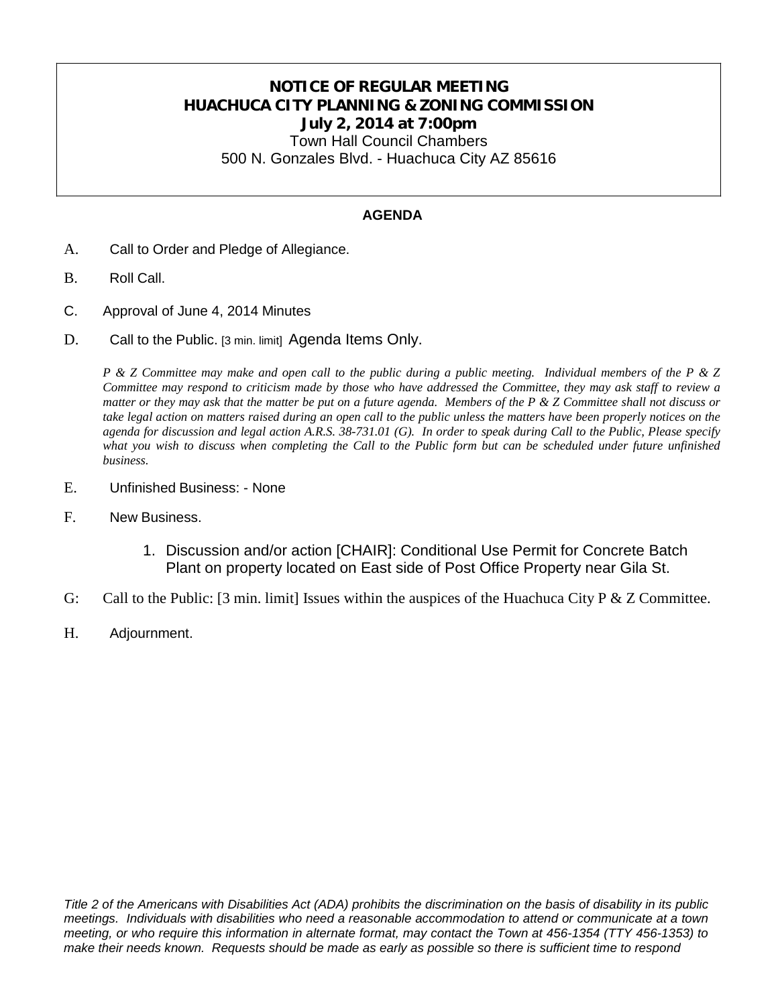## **NOTICE OF REGULAR MEETING HUACHUCA CITY PLANNING & ZONING COMMISSION July 2, 2014 at 7:00pm**

Town Hall Council Chambers 500 N. Gonzales Blvd. - Huachuca City AZ 85616

#### **AGENDA**

- A. Call to Order and Pledge of Allegiance.
- B. Roll Call.
- C. Approval of June 4, 2014 Minutes
- D. Call to the Public. [3 min. limit] Agenda Items Only.

*P & Z Committee may make and open call to the public during a public meeting. Individual members of the P & Z Committee may respond to criticism made by those who have addressed the Committee, they may ask staff to review a matter or they may ask that the matter be put on a future agenda. Members of the P & Z Committee shall not discuss or take legal action on matters raised during an open call to the public unless the matters have been properly notices on the agenda for discussion and legal action A.R.S. 38-731.01 (G). In order to speak during Call to the Public, Please specify*  what you wish to discuss when completing the Call to the Public form but can be scheduled under future unfinished *business.*

- E. Unfinished Business: None
- F. New Business.
	- 1. Discussion and/or action [CHAIR]: Conditional Use Permit for Concrete Batch Plant on property located on East side of Post Office Property near Gila St.
- G: Call to the Public: [3 min. limit] Issues within the auspices of the Huachuca City P & Z Committee.
- H. Adjournment.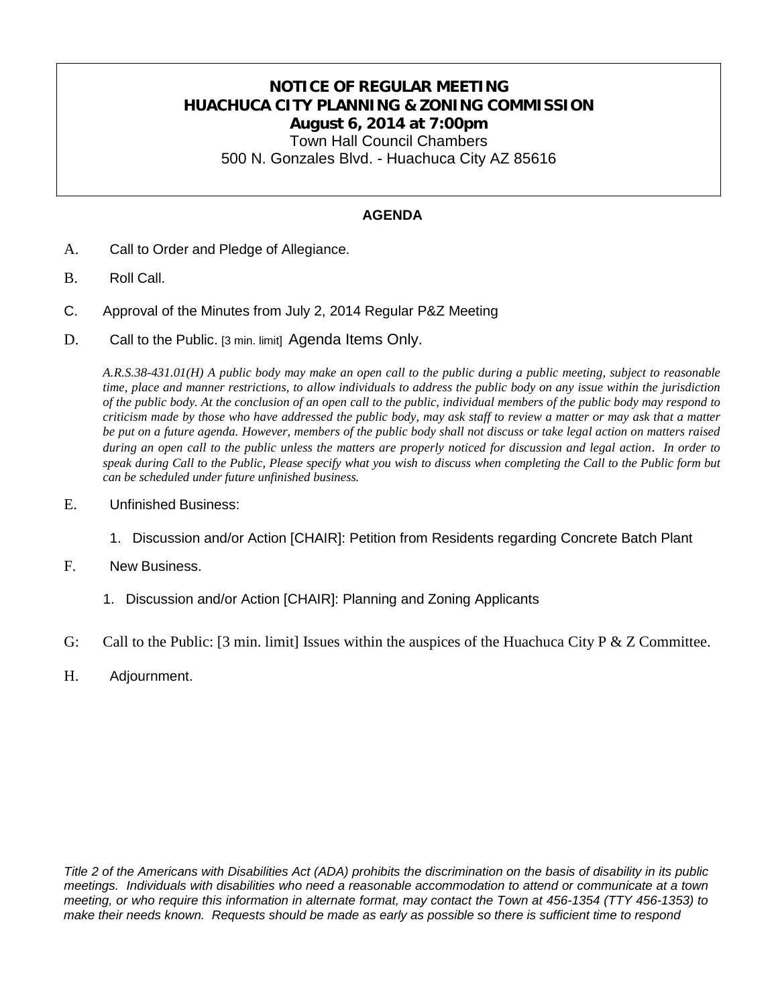## **NOTICE OF REGULAR MEETING HUACHUCA CITY PLANNING & ZONING COMMISSION August 6, 2014 at 7:00pm**

Town Hall Council Chambers 500 N. Gonzales Blvd. - Huachuca City AZ 85616

#### **AGENDA**

- A. Call to Order and Pledge of Allegiance.
- B. Roll Call.
- C. Approval of the Minutes from July 2, 2014 Regular P&Z Meeting
- D. Call to the Public. [3 min. limit] Agenda Items Only.

*A.R.S.38-431.01(H) A public body may make an open call to the public during a public meeting, subject to reasonable time, place and manner restrictions, to allow individuals to address the public body on any issue within the jurisdiction of the public body. At the conclusion of an open call to the public, individual members of the public body may respond to criticism made by those who have addressed the public body, may ask staff to review a matter or may ask that a matter be put on a future agenda. However, members of the public body shall not discuss or take legal action on matters raised during an open call to the public unless the matters are properly noticed for discussion and legal action*. *In order to speak during Call to the Public, Please specify what you wish to discuss when completing the Call to the Public form but can be scheduled under future unfinished business.*

- E. Unfinished Business:
	- 1. Discussion and/or Action [CHAIR]: Petition from Residents regarding Concrete Batch Plant
- F. New Business.
	- 1. Discussion and/or Action [CHAIR]: Planning and Zoning Applicants
- G: Call to the Public: [3 min. limit] Issues within the auspices of the Huachuca City P & Z Committee.
- H. Adjournment.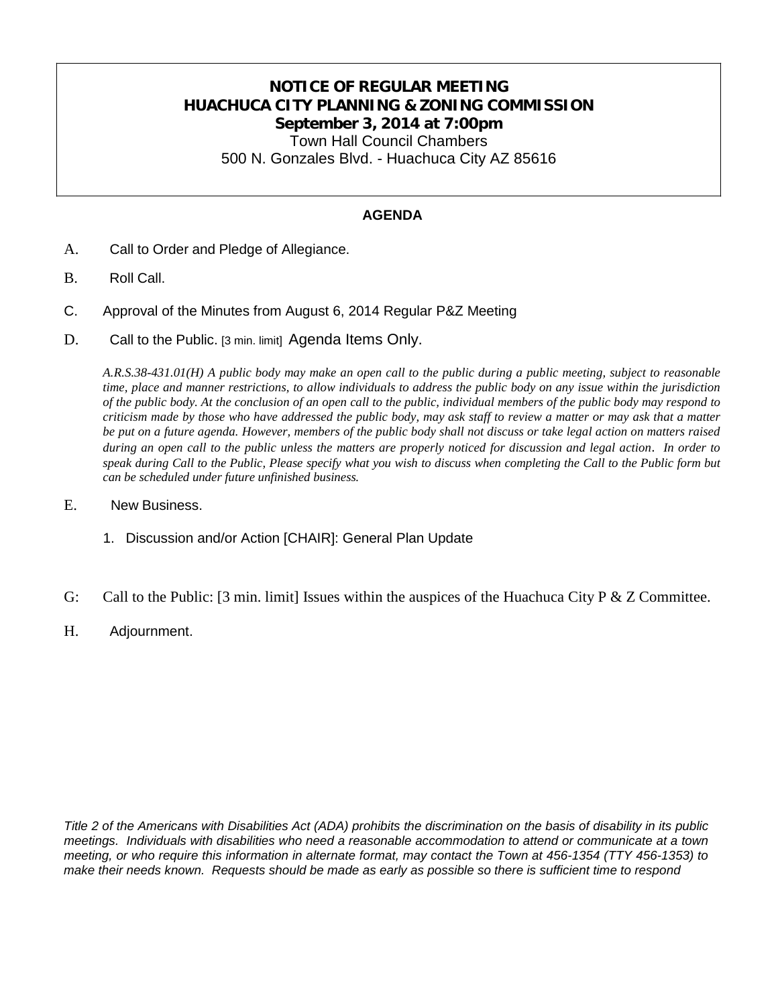### **NOTICE OF REGULAR MEETING HUACHUCA CITY PLANNING & ZONING COMMISSION September 3, 2014 at 7:00pm** Town Hall Council Chambers

500 N. Gonzales Blvd. - Huachuca City AZ 85616

#### **AGENDA**

- A. Call to Order and Pledge of Allegiance.
- B. Roll Call.
- C. Approval of the Minutes from August 6, 2014 Regular P&Z Meeting
- D. Call to the Public. [3 min. limit] Agenda Items Only.

*A.R.S.38-431.01(H) A public body may make an open call to the public during a public meeting, subject to reasonable time, place and manner restrictions, to allow individuals to address the public body on any issue within the jurisdiction of the public body. At the conclusion of an open call to the public, individual members of the public body may respond to criticism made by those who have addressed the public body, may ask staff to review a matter or may ask that a matter be put on a future agenda. However, members of the public body shall not discuss or take legal action on matters raised during an open call to the public unless the matters are properly noticed for discussion and legal action*. *In order to speak during Call to the Public, Please specify what you wish to discuss when completing the Call to the Public form but can be scheduled under future unfinished business.*

- E. New Business.
	- 1. Discussion and/or Action [CHAIR]: General Plan Update
- G: Call to the Public: [3 min. limit] Issues within the auspices of the Huachuca City P & Z Committee.
- H. Adjournment.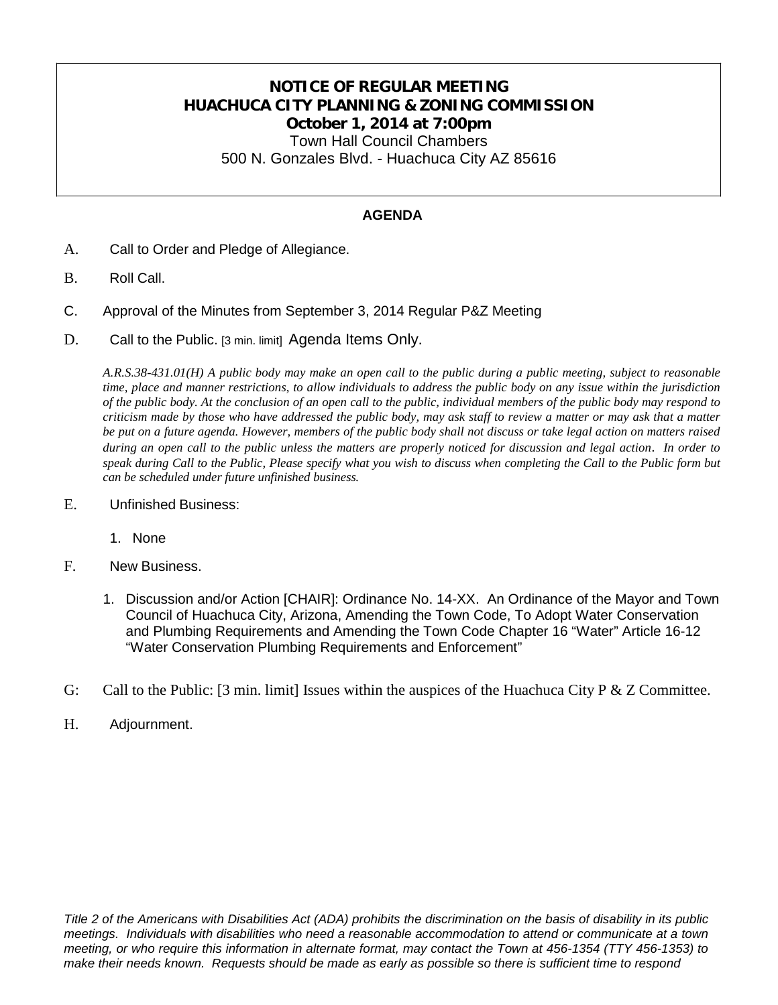## **NOTICE OF REGULAR MEETING HUACHUCA CITY PLANNING & ZONING COMMISSION October 1, 2014 at 7:00pm** Town Hall Council Chambers

500 N. Gonzales Blvd. - Huachuca City AZ 85616

#### **AGENDA**

- A. Call to Order and Pledge of Allegiance.
- B. Roll Call.
- C. Approval of the Minutes from September 3, 2014 Regular P&Z Meeting
- D. Call to the Public. [3 min. limit] Agenda Items Only.

*A.R.S.38-431.01(H) A public body may make an open call to the public during a public meeting, subject to reasonable time, place and manner restrictions, to allow individuals to address the public body on any issue within the jurisdiction of the public body. At the conclusion of an open call to the public, individual members of the public body may respond to criticism made by those who have addressed the public body, may ask staff to review a matter or may ask that a matter be put on a future agenda. However, members of the public body shall not discuss or take legal action on matters raised during an open call to the public unless the matters are properly noticed for discussion and legal action*. *In order to speak during Call to the Public, Please specify what you wish to discuss when completing the Call to the Public form but can be scheduled under future unfinished business.*

- E. Unfinished Business:
	- 1. None
- F. New Business.
	- 1. Discussion and/or Action [CHAIR]: Ordinance No. 14-XX. An Ordinance of the Mayor and Town Council of Huachuca City, Arizona, Amending the Town Code, To Adopt Water Conservation and Plumbing Requirements and Amending the Town Code Chapter 16 "Water" Article 16-12 "Water Conservation Plumbing Requirements and Enforcement"
- G: Call to the Public:  $[3 \text{ min. limit}]$  Issues within the auspices of the Huachuca City P & Z Committee.
- H. Adjournment.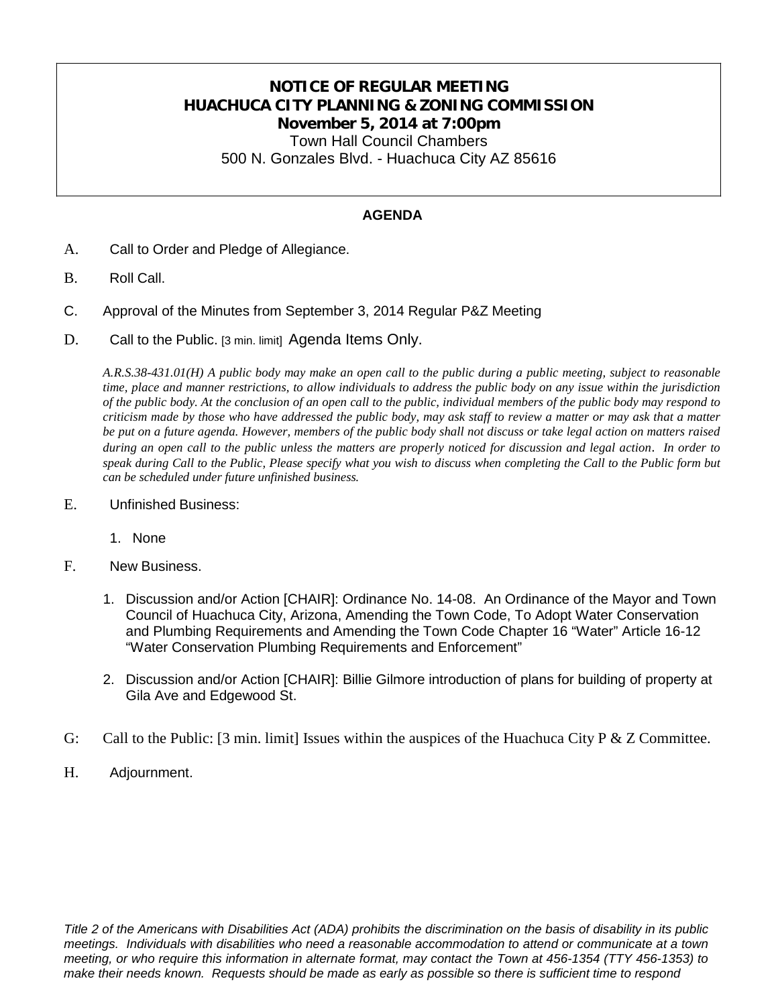## **NOTICE OF REGULAR MEETING HUACHUCA CITY PLANNING & ZONING COMMISSION November 5, 2014 at 7:00pm**

Town Hall Council Chambers 500 N. Gonzales Blvd. - Huachuca City AZ 85616

#### **AGENDA**

- A. Call to Order and Pledge of Allegiance.
- B. Roll Call.
- C. Approval of the Minutes from September 3, 2014 Regular P&Z Meeting
- D. Call to the Public. [3 min. limit] Agenda Items Only.

*A.R.S.38-431.01(H) A public body may make an open call to the public during a public meeting, subject to reasonable time, place and manner restrictions, to allow individuals to address the public body on any issue within the jurisdiction of the public body. At the conclusion of an open call to the public, individual members of the public body may respond to criticism made by those who have addressed the public body, may ask staff to review a matter or may ask that a matter be put on a future agenda. However, members of the public body shall not discuss or take legal action on matters raised during an open call to the public unless the matters are properly noticed for discussion and legal action*. *In order to speak during Call to the Public, Please specify what you wish to discuss when completing the Call to the Public form but can be scheduled under future unfinished business.*

- E. Unfinished Business:
	- 1. None
- F. New Business.
	- 1. Discussion and/or Action [CHAIR]: Ordinance No. 14-08. An Ordinance of the Mayor and Town Council of Huachuca City, Arizona, Amending the Town Code, To Adopt Water Conservation and Plumbing Requirements and Amending the Town Code Chapter 16 "Water" Article 16-12 "Water Conservation Plumbing Requirements and Enforcement"
	- 2. Discussion and/or Action [CHAIR]: Billie Gilmore introduction of plans for building of property at Gila Ave and Edgewood St.
- G: Call to the Public: [3 min. limit] Issues within the auspices of the Huachuca City P & Z Committee.
- H. Adjournment.